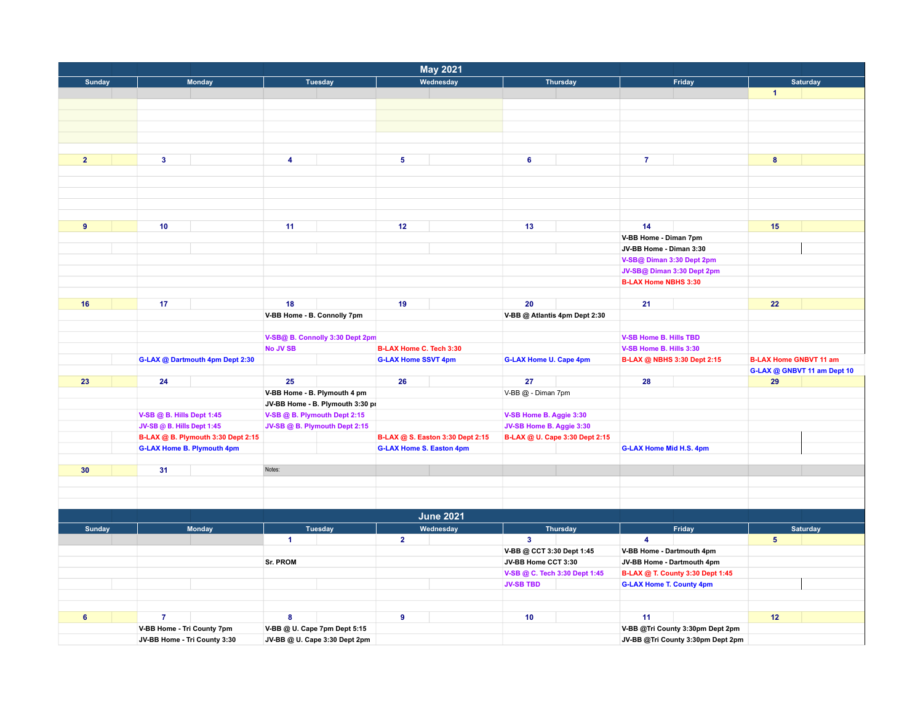| <b>May 2021</b> |                                                    |                                  |                                                                     |                                |                                    |                                   |  |  |  |  |  |
|-----------------|----------------------------------------------------|----------------------------------|---------------------------------------------------------------------|--------------------------------|------------------------------------|-----------------------------------|--|--|--|--|--|
| Sunday          | <b>Monday</b>                                      | <b>Tuesday</b>                   | Wednesday                                                           | <b>Thursday</b>                | Friday                             | Saturday                          |  |  |  |  |  |
|                 |                                                    |                                  |                                                                     |                                |                                    | $\blacktriangleleft$              |  |  |  |  |  |
|                 |                                                    |                                  |                                                                     |                                |                                    |                                   |  |  |  |  |  |
|                 |                                                    |                                  |                                                                     |                                |                                    |                                   |  |  |  |  |  |
|                 |                                                    |                                  |                                                                     |                                |                                    |                                   |  |  |  |  |  |
|                 |                                                    |                                  |                                                                     |                                |                                    |                                   |  |  |  |  |  |
|                 |                                                    |                                  |                                                                     |                                |                                    |                                   |  |  |  |  |  |
| $\overline{2}$  | $\mathbf{3}$                                       | $\overline{\mathbf{4}}$          | 5 <sub>5</sub>                                                      | 6                              | $\overline{7}$                     | $\boldsymbol{8}$                  |  |  |  |  |  |
|                 |                                                    |                                  |                                                                     |                                |                                    |                                   |  |  |  |  |  |
|                 |                                                    |                                  |                                                                     |                                |                                    |                                   |  |  |  |  |  |
|                 |                                                    |                                  |                                                                     |                                |                                    |                                   |  |  |  |  |  |
|                 |                                                    |                                  |                                                                     |                                |                                    |                                   |  |  |  |  |  |
|                 |                                                    |                                  |                                                                     |                                |                                    |                                   |  |  |  |  |  |
| 9               | 10                                                 | 11                               | 12                                                                  | 13                             | 14                                 | 15                                |  |  |  |  |  |
|                 |                                                    |                                  |                                                                     |                                | V-BB Home - Diman 7pm              |                                   |  |  |  |  |  |
|                 |                                                    |                                  |                                                                     |                                | JV-BB Home - Diman 3:30            |                                   |  |  |  |  |  |
|                 |                                                    |                                  |                                                                     |                                | V-SB@ Diman 3:30 Dept 2pm          |                                   |  |  |  |  |  |
|                 |                                                    |                                  |                                                                     |                                | JV-SB@ Diman 3:30 Dept 2pm         |                                   |  |  |  |  |  |
|                 |                                                    |                                  |                                                                     |                                | <b>B-LAX Home NBHS 3:30</b>        |                                   |  |  |  |  |  |
|                 |                                                    |                                  |                                                                     |                                |                                    |                                   |  |  |  |  |  |
| 16              | 17                                                 | 18                               | 19                                                                  | 20                             | 21                                 | 22                                |  |  |  |  |  |
|                 |                                                    | V-BB Home - B. Connolly 7pm      |                                                                     | V-BB @ Atlantis 4pm Dept 2:30  |                                    |                                   |  |  |  |  |  |
|                 |                                                    |                                  |                                                                     |                                |                                    |                                   |  |  |  |  |  |
|                 |                                                    |                                  |                                                                     |                                | V-SB Home B. Hills TBD             |                                   |  |  |  |  |  |
|                 | V-SB@ B. Connolly 3:30 Dept 2pm<br><b>No JV SB</b> |                                  | B-LAX Home C. Tech 3:30                                             |                                | V-SB Home B. Hills 3:30            |                                   |  |  |  |  |  |
|                 | G-LAX @ Dartmouth 4pm Dept 2:30                    |                                  | <b>G-LAX Home SSVT 4pm</b>                                          | <b>G-LAX Home U. Cape 4pm</b>  | <b>B-LAX @ NBHS 3:30 Dept 2:15</b> | <b>B-LAX Home GNBVT 11 am</b>     |  |  |  |  |  |
|                 |                                                    |                                  |                                                                     |                                |                                    |                                   |  |  |  |  |  |
| 23              | 24                                                 | 25                               | 26                                                                  | 27                             | 28                                 | G-LAX @ GNBVT 11 am Dept 10<br>29 |  |  |  |  |  |
|                 |                                                    |                                  |                                                                     |                                |                                    |                                   |  |  |  |  |  |
|                 |                                                    | V-BB Home - B. Plymouth 4 pm     |                                                                     | V-BB @ - Diman 7pm             |                                    |                                   |  |  |  |  |  |
|                 |                                                    | JV-BB Home - B. Plymouth 3:30 pr |                                                                     |                                |                                    |                                   |  |  |  |  |  |
|                 | V-SB @ B. Hills Dept 1:45                          | V-SB @ B. Plymouth Dept 2:15     |                                                                     | V-SB Home B. Aggie 3:30        |                                    |                                   |  |  |  |  |  |
|                 | JV-SB @ B. Hills Dept 1:45                         | JV-SB @ B. Plymouth Dept 2:15    |                                                                     | JV-SB Home B. Aggie 3:30       |                                    |                                   |  |  |  |  |  |
|                 | B-LAX @ B. Plymouth 3:30 Dept 2:15                 |                                  | B-LAX @ S. Easton 3:30 Dept 2:15<br><b>G-LAX Home S. Easton 4pm</b> | B-LAX @ U. Cape 3:30 Dept 2:15 |                                    |                                   |  |  |  |  |  |
|                 | <b>G-LAX Home B. Plymouth 4pm</b>                  |                                  |                                                                     |                                | <b>G-LAX Home Mid H.S. 4pm</b>     |                                   |  |  |  |  |  |
|                 |                                                    |                                  |                                                                     |                                |                                    |                                   |  |  |  |  |  |
| 30              | 31                                                 | Notes:                           |                                                                     |                                |                                    |                                   |  |  |  |  |  |
|                 |                                                    |                                  |                                                                     |                                |                                    |                                   |  |  |  |  |  |
|                 |                                                    |                                  |                                                                     |                                |                                    |                                   |  |  |  |  |  |
|                 |                                                    |                                  |                                                                     |                                |                                    |                                   |  |  |  |  |  |
|                 |                                                    |                                  | <b>June 2021</b>                                                    |                                |                                    |                                   |  |  |  |  |  |
| <b>Sunday</b>   | <b>Monday</b>                                      | <b>Tuesday</b>                   | Wednesday                                                           | <b>Thursday</b>                | Friday                             | <b>Saturday</b>                   |  |  |  |  |  |
|                 |                                                    | $\blacktriangleleft$             | $\overline{2}$                                                      | $\overline{\mathbf{3}}$        | 4                                  | 5 <sup>5</sup>                    |  |  |  |  |  |

| Sunday |                                                               | <b>Monday</b> |                              | Tuesday | Wednesday |                                   | Thursday                  |                                  | Friday                          |                                  | Saturday |  |
|--------|---------------------------------------------------------------|---------------|------------------------------|---------|-----------|-----------------------------------|---------------------------|----------------------------------|---------------------------------|----------------------------------|----------|--|
|        |                                                               |               |                              |         |           |                                   |                           |                                  |                                 |                                  |          |  |
|        |                                                               |               |                              |         |           |                                   | V-BB @ CCT 3:30 Dept 1:45 |                                  | V-BB Home - Dartmouth 4pm       |                                  |          |  |
|        |                                                               |               | <b>Sr. PROM</b>              |         |           |                                   | JV-BB Home CCT 3:30       |                                  | JV-BB Home - Dartmouth 4pm      |                                  |          |  |
|        |                                                               |               |                              |         |           |                                   |                           | V-SB @ C. Tech 3:30 Dept 1:45    |                                 | B-LAX @ T. County 3:30 Dept 1:45 |          |  |
|        |                                                               |               |                              |         |           |                                   | <b>JV-SB TBD</b>          |                                  | <b>G-LAX Home T. County 4pm</b> |                                  |          |  |
|        |                                                               |               |                              |         |           |                                   |                           |                                  |                                 |                                  |          |  |
|        |                                                               |               |                              |         |           |                                   |                           |                                  |                                 |                                  |          |  |
|        |                                                               |               |                              |         |           |                                   | 10                        |                                  | 11                              |                                  | 12       |  |
|        | V-BB Home - Tri County 7pm                                    |               | V-BB @ U. Cape 7pm Dept 5:15 |         |           |                                   |                           | V-BB @Tri County 3:30pm Dept 2pm |                                 |                                  |          |  |
|        | JV-BB @ U. Cape 3:30 Dept 2pm<br>JV-BB Home - Tri County 3:30 |               |                              |         |           | JV-BB @Tri County 3:30pm Dept 2pm |                           |                                  |                                 |                                  |          |  |